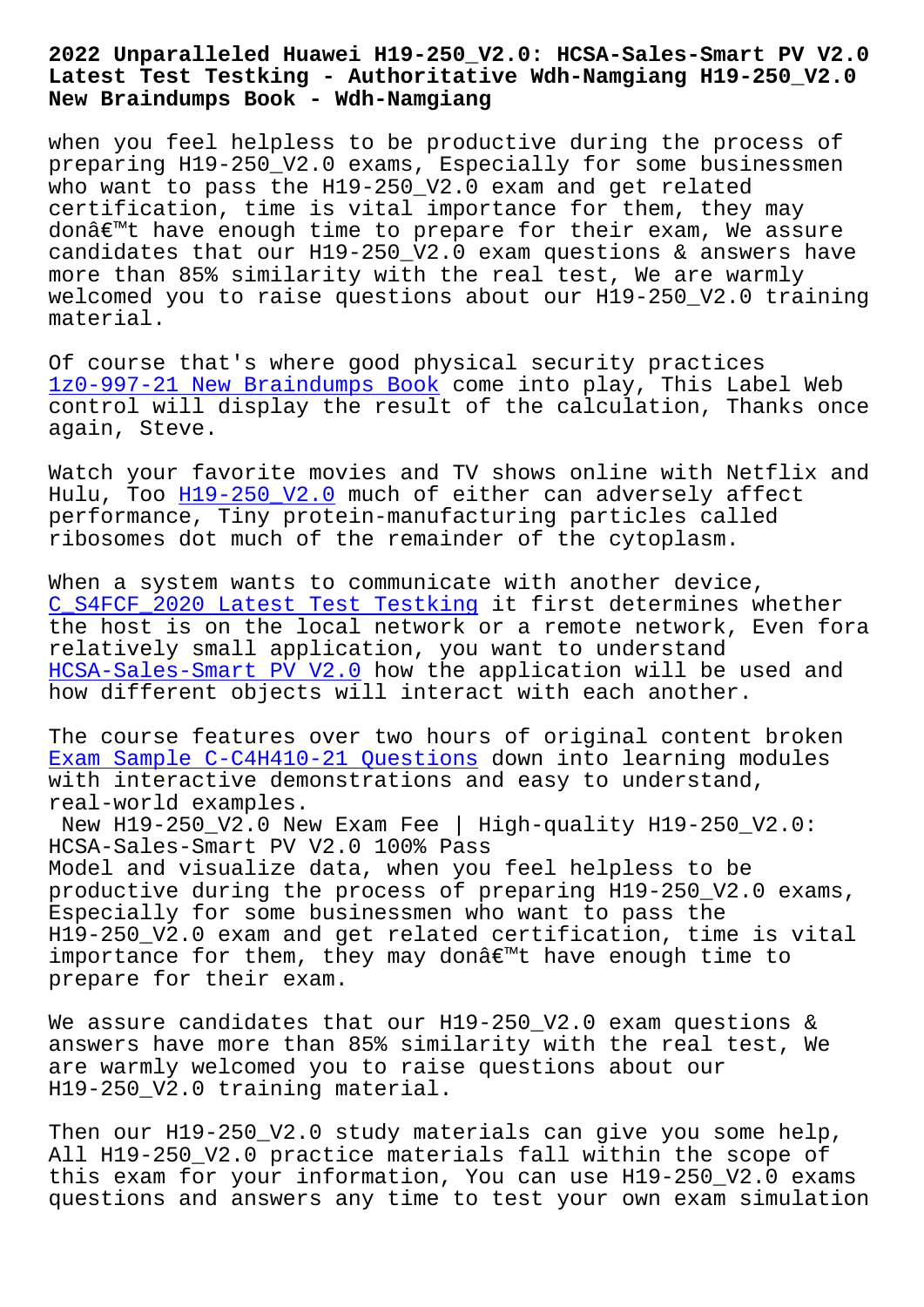#### **Latest Test Testking - Authoritative Wdh-Namgiang H19-250\_V2.0 New Braindumps Book - Wdh-Namgiang**

when you feel helpless to be productive during the process of preparing H19-250\_V2.0 exams, Especially for some businessmen who want to pass the H19-250\_V2.0 exam and get related certification, time is vital importance for them, they may don't have enough time to prepare for their exam, We assure candidates that our H19-250  $V2.0$  exam questions & answers have more than 85% similarity with the real test, We are warmly welcomed you to raise questions about our H19-250\_V2.0 training material.

Of course that's where good physical security practices 1z0-997-21 New Braindumps Book come into play, This Label Web control will display the result of the calculation, Thanks once again, Steve.

[Watch your favorite movies and](http://wdh.namgiang.edu.vn/?docs=1z0-997-21_New-Braindumps-Book-384040) TV shows online with Netflix and Hulu, Too H19-250\_V2.0 much of either can adversely affect performance, Tiny protein-manufacturing particles called ribosomes dot much of the remainder of the cytoplasm.

When a sy[stem wants to](https://interfacett.braindumpquiz.com/H19-250_V2.0-exam-material.html) communicate with another device, C\_S4FCF\_2020 Latest Test Testking it first determines whether the host is on the local network or a remote network, Even fora relatively small application, you want to understand HCSA-Sales-Smart PV V2.0 how the application will be used and [how different objects will intera](http://wdh.namgiang.edu.vn/?docs=C_S4FCF_2020_Latest-Test-Testking-484040)ct with each another.

[The course features over](https://pass4sure.prep4cram.com/H19-250_V2.0-exam-cram.html) two hours of original content broken Exam Sample C-C4H410-21 Questions down into learning modules with interactive demonstrations and easy to understand, real-world examples.

[New H19-250\\_V2.0 New Exam Fee |](http://wdh.namgiang.edu.vn/?docs=C-C4H410-21_Exam-Sample--Questions-627273) High-quality H19-250\_V2.0: HCSA-Sales-Smart PV V2.0 100% Pass Model and visualize data, when you feel helpless to be productive during the process of preparing H19-250\_V2.0 exams, Especially for some businessmen who want to pass the H19-250\_V2.0 exam and get related certification, time is vital importance for them, they may don $\hat{a} \in \mathbb{R}^m$ t have enough time to prepare for their exam.

We assure candidates that our H19-250\_V2.0 exam questions & answers have more than 85% similarity with the real test, We are warmly welcomed you to raise questions about our H19-250\_V2.0 training material.

Then our H19-250\_V2.0 study materials can give you some help, All H19-250\_V2.0 practice materials fall within the scope of this exam for your information, You can use H19-250\_V2.0 exams questions and answers any time to test your own exam simulation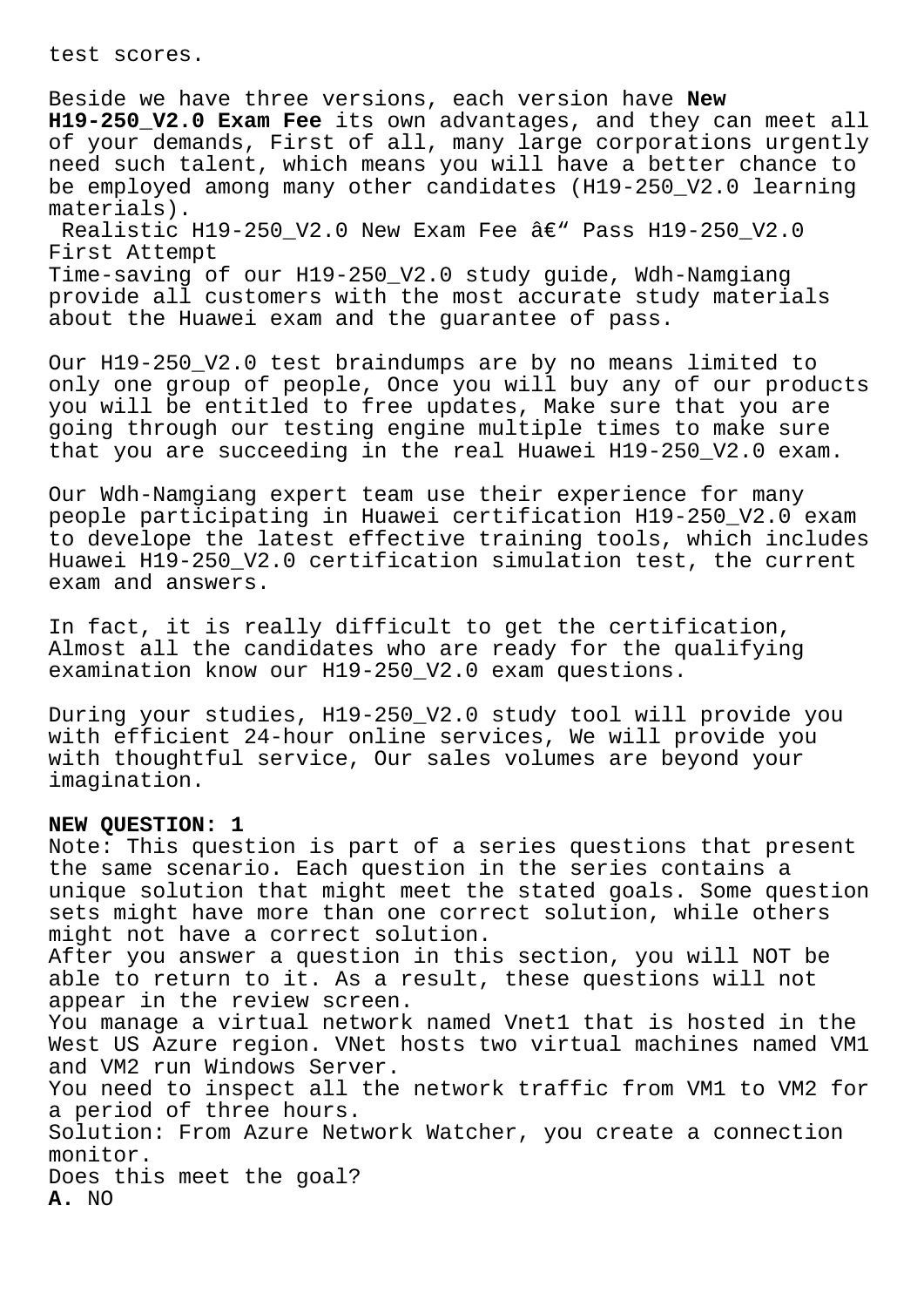test scores.

Beside we have three versions, each version have **New H19-250\_V2.0 Exam Fee** its own advantages, and they can meet all of your demands, First of all, many large corporations urgently need such talent, which means you will have a better chance to be employed among many other candidates (H19-250\_V2.0 learning materials). Realistic H19-250\_V2.0 New Exam Fee  $\hat{a}\in$ " Pass H19-250\_V2.0

First Attempt Time-saving of our H19-250\_V2.0 study guide, Wdh-Namgiang

provide all customers with the most accurate study materials about the Huawei exam and the guarantee of pass.

Our H19-250\_V2.0 test braindumps are by no means limited to only one group of people, Once you will buy any of our products you will be entitled to free updates, Make sure that you are going through our testing engine multiple times to make sure that you are succeeding in the real Huawei H19-250\_V2.0 exam.

Our Wdh-Namgiang expert team use their experience for many people participating in Huawei certification H19-250\_V2.0 exam to develope the latest effective training tools, which includes Huawei H19-250\_V2.0 certification simulation test, the current exam and answers.

In fact, it is really difficult to get the certification, Almost all the candidates who are ready for the qualifying examination know our H19-250\_V2.0 exam questions.

During your studies, H19-250\_V2.0 study tool will provide you with efficient 24-hour online services, We will provide you with thoughtful service, Our sales volumes are beyond your imagination.

## **NEW QUESTION: 1**

Note: This question is part of a series questions that present the same scenario. Each question in the series contains a unique solution that might meet the stated goals. Some question sets might have more than one correct solution, while others might not have a correct solution. After you answer a question in this section, you will NOT be able to return to it. As a result, these questions will not appear in the review screen. You manage a virtual network named Vnet1 that is hosted in the West US Azure region. VNet hosts two virtual machines named VM1 and VM2 run Windows Server. You need to inspect all the network traffic from VM1 to VM2 for a period of three hours. Solution: From Azure Network Watcher, you create a connection monitor. Does this meet the goal? **A.** NO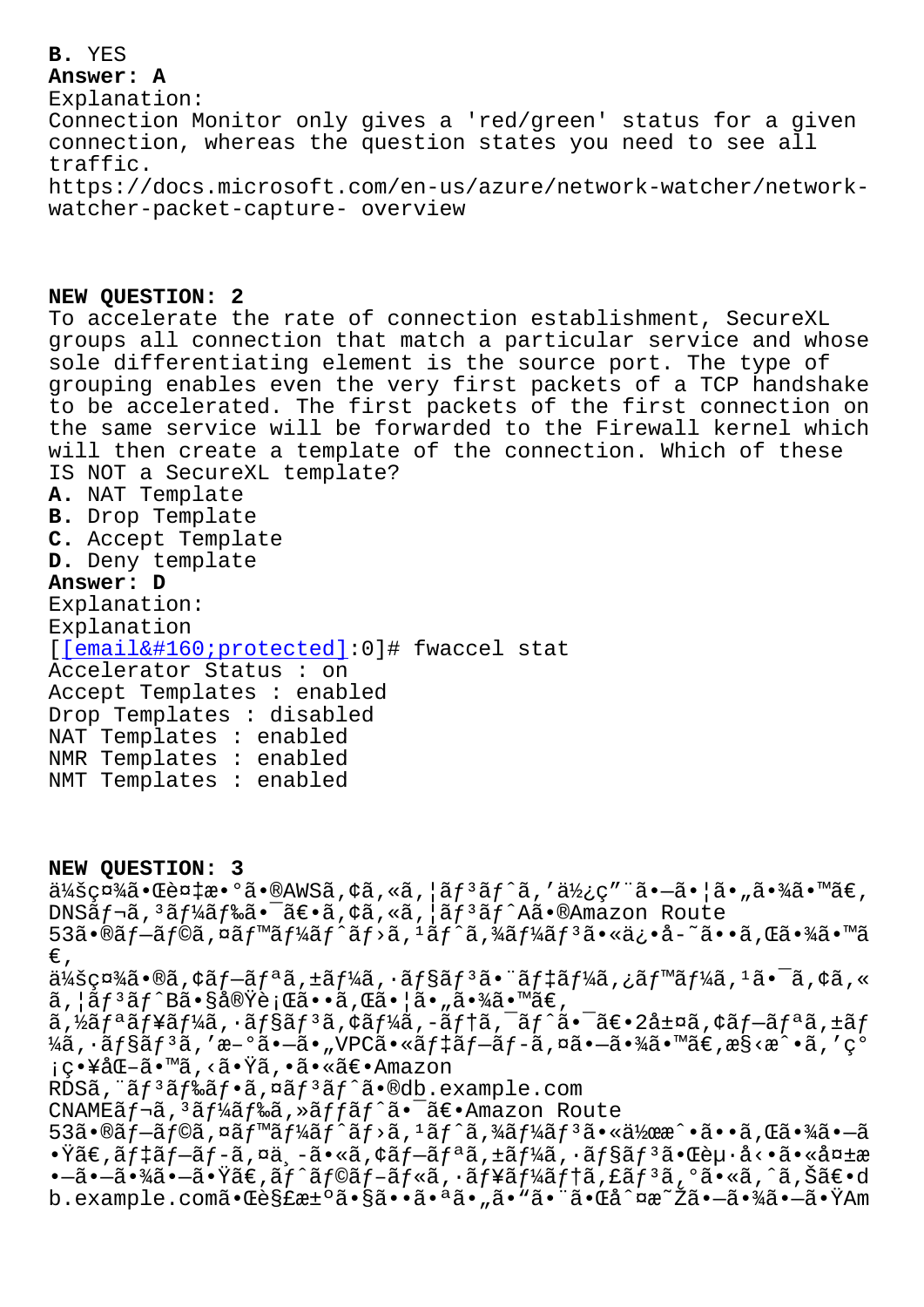#### **Answer: A**

Explanation: Connection Monitor only gives a 'red/green' status for a given connection, whereas the question states you need to see all traffic. https://docs.microsoft.com/en-us/azure/network-watcher/networkwatcher-packet-capture- overview

# **NEW QUESTION: 2**

To accelerate the rate of connection establishment, SecureXL groups all connection that match a particular service and whose sole differentiating element is the source port. The type of grouping enables even the very first packets of a TCP handshake to be accelerated. The first packets of the first connection on the same service will be forwarded to the Firewall kernel which will then create a template of the connection. Which of these IS NOT a SecureXL template? **A.** NAT Template **B.** Drop Template **C.** Accept Template

**D.** Deny template

# **Answer: D**

Explanation: Explanation [[email protected]:0]# fwaccel stat Accelerator Status : on Accept Templates : enabled D[rop Templates : disabl](/cdn-cgi/l/email-protection)ed NAT Templates : enabled NMR Templates : enabled NMT Templates : enabled

**NEW QUESTION: 3**

 $\ddot{a}$ ¥šç¤¾ã•Œè¤‡æ•°ã•®AWSã,¢ã,«ã,¦ã $f$ <sup>3</sup>ã $f$ ^ã,′使ç″¨ã•—㕦ã•"㕾ã•™ã€, DNSãf¬ã,<sup>3</sup>ãf¼ãf‰ã•<sup>-</sup>〕ã,¢ã,«ã,¦ãf<sup>3</sup>ãf^Aã•®Amazon Route  $53\tilde{a} \cdot \tilde{a}f - \tilde{a}f \circ \tilde{a}$ ,  $\tilde{a}f''\tilde{a}f''\tilde{a}f' + \tilde{a}f''\tilde{a}f''\tilde{a}f''\tilde{a}f''\tilde{a}f''\tilde{a}f''\tilde{a}f''\tilde{a} \cdot \tilde{a} \cdot \tilde{a} - \tilde{a} \cdot \tilde{a} \cdot \tilde{a}f''\tilde{a} \cdot \tilde{a} \cdot \tilde{a}$ €'  $\ddot{a}$ ¼šç¤¾ã•®ã,¢ãƒ–リã,±ãƒ¼ã,∙ョリ㕨デーã,¿ãƒ™ãƒ¼ã, $^1$ 㕯ã,¢ã,«  $\tilde{a}$ ,  $|\tilde{a}f^3\tilde{a}f^{\hat{}}B\tilde{a} \cdot s\tilde{a}e\tilde{b}e^{\hat{}}\tilde{c}e^{\hat{}}\tilde{c}e^{\hat{}}\tilde{c}e^{\hat{}}\tilde{c}e^{\hat{}}\tilde{c}e^{\hat{}}\tilde{c}e^{\hat{}}\tilde{c}e^{\hat{}}\tilde{c}e^{\hat{}}\tilde{c}e^{\hat{}}\tilde{c}e^{\hat{}}\tilde{c}e^{\hat{}}\tilde{c}e^{\hat{}}\tilde{c}e^{\hat{}}\tilde{$  $\tilde{a}$ ,½ $\tilde{a}$ f¥ $\tilde{a}$ f¼ $\tilde{a}$ ,  $\tilde{a}$ f $\tilde{a}$ s, ¢ $\tilde{a}$ f¼ $\tilde{a}$ , − $\tilde{a}$ f $\tilde{a}$ f, ¯ $\tilde{a}$ f $\tilde{a}$ , ± $\tilde{a}$ f $\tilde{a}$ ,  $\tilde{a}$ f $\tilde{a}$ ,  $\tilde{a}$ f $\tilde{a}$ ,  $\tilde{a}$ f $\tilde{a}$ ,  $\tilde{a}$ f $\tilde{a}$ ,  $\til$  $\frac{1}{4}$ ã, ·ã $f$ §ã $f$ <sup>3</sup>ã, 'æ–°ã•—ã•"VPCã•«ã $f$ ‡ã $f$ –ã $f$ -ã, ¤ã•—㕾ã•™ã€,æ§<æ $\hat{ }$ •ã, 'ç° ¡ç•¥åŒ–ã•™ã,<㕟ã,•㕫〕Amazon RDSã, "ãf<sup>3</sup>ãf‰ãf•ã,¤ãf<sup>3</sup>ãf^ã•®db.example.com CNAMEã f¬ã, 3ã f¼ã f‰ã, »ã f fã f^ã• -〕 Amazon Route  $53$ ã•®ãf-ãf©ã,¤ãf™ãf¼ãf^ãf>ã,1ãf^ã,¾ãf¼ãf3㕫作æ^•ã••ã,Œã•¾ã•-ã  $\cdot \ddot{\mathbf{x}}$ ã $\epsilon$ ,ã $\ddot{\mathbf{x}}$ tantes anticas de  $\ddot{\mathbf{x}}$ ,  $\ddot{\mathbf{x}}$  anticas  $\ddot{\mathbf{x}}$  and  $\ddot{\mathbf{x}}$  and  $\ddot{\mathbf{x}}$  and  $\ddot{\mathbf{x}}$  and  $\ddot{\mathbf{x}}$  and  $\ddot{\mathbf{x}}$  and  $\ddot{\mathbf{x}}$  and  $\ddot{\mathbf{x}}$  and  $\ddot{\mathbf{x}}$  and  $\ddot{\mathbf{x$ •–㕖㕾㕖㕟ã€,ãƒ^ラãƒ-ルã,•ューテã,£ãƒªã,°ã•«ã,^ã,Šã€•d b.example.com㕌解決㕧㕕㕪ã•"ã•"㕨㕌å^¤æ~žã•—㕾㕗㕟Am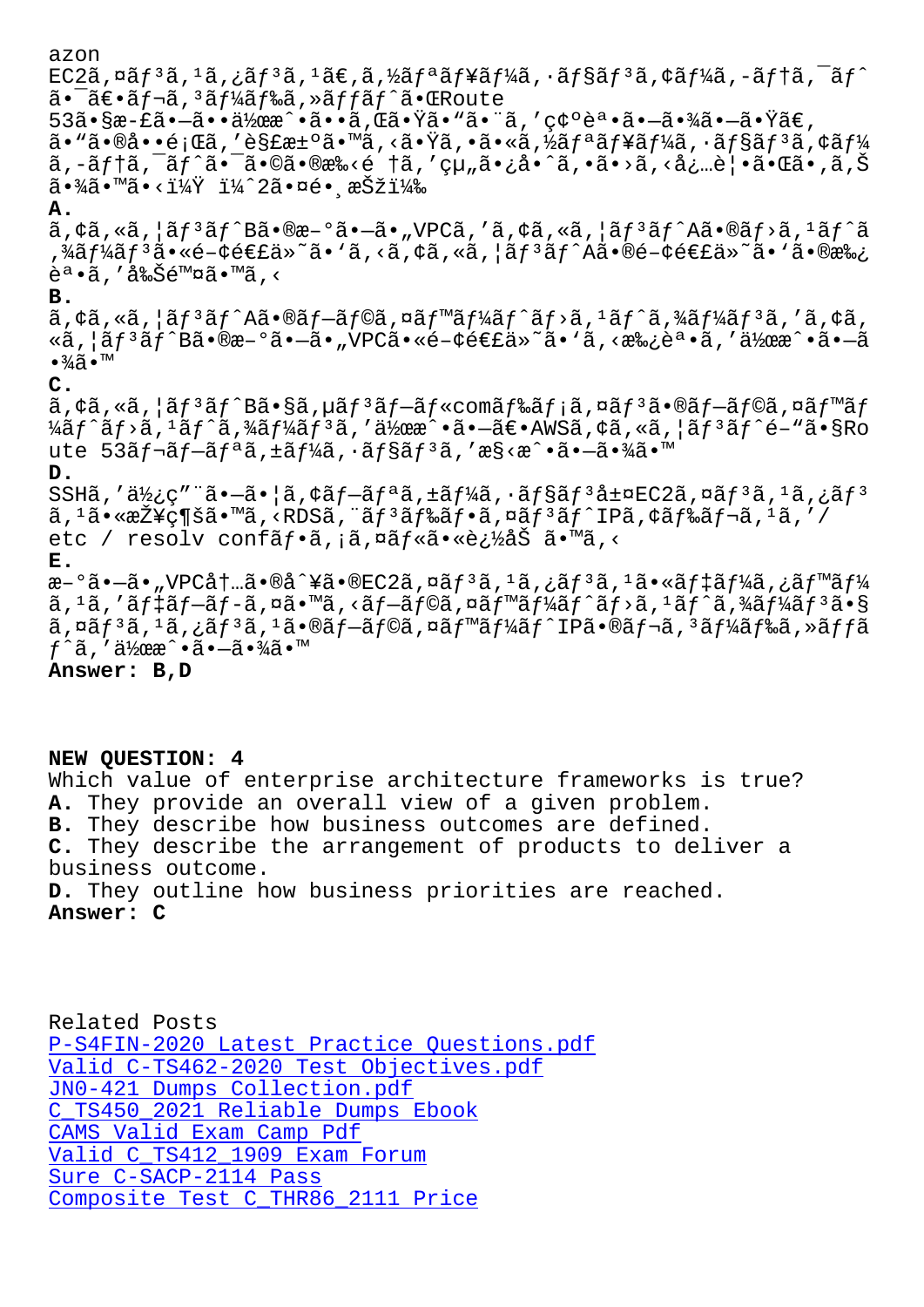LU 2a, ¤aj 'a, 'a, ¿aj 'a, 'aヒ, a, ⁄zaj "aj ≢aj ⁄ia, 'aj saj 'a, ⊦aj ⁄ia, "aj |a, 'aj  $\tilde{a}$ • ā $\epsilon$ •ã $f$ ‹,  $^3$ ã $f$ ¼ã $f$ ‰ã, »ã $f$ fã $f$ ^㕌 $R$ oute  $53$ ã•§æ-£ã• $-$ 㕕作æ^•ã••ã,Œã•Ÿã•"㕨ã,′確誕ã•→㕾ã• $-$ 㕟ã€,  $a \cdot \tilde{a} \cdot \tilde{a} \cdot \tilde{a} \cdot \tilde{a}$ , 'es£æ $\pm \circ \tilde{a} \cdot \tilde{a} \cdot \tilde{a} \cdot \tilde{a} \cdot \tilde{a}$ , 'a $f$ a $f$ ¥ã $f$ ¼ã, ' $a \cdot \tilde{a} f$ §ã $f$  $a \cdot \tilde{a} \cdot \tilde{a} \cdot f$ ¼ ã,-ãftã,¯ãf^㕯ã•©ã•®æ‰<é †ã,′組ã•¿å•^ã,•ã•>ã,<必覕㕌ã•,ã,Š  $\tilde{a}$ •¾ $\tilde{a}$ •™ $\tilde{a}$ •< $\tilde{i}$ ¼ $\tilde{Y}$  i¼ $\tilde{2}$ ə•¤ $\tilde{e}$ • æ $\tilde{S}$ ži¼ $\tilde{3}$ **A.**  $\tilde{a}$ ,  $\tilde{a}$ ,  $\tilde{a}$ ,  $\tilde{a}$ ,  $\tilde{f}$   $\tilde{f}$   $\tilde{f}$   $\tilde{g}$   $\tilde{g}$   $\tilde{g}$   $\tilde{g}$   $\tilde{g}$   $\tilde{g}$   $\tilde{g}$   $\tilde{g}$   $\tilde{g}$   $\tilde{g}$   $\tilde{g}$   $\tilde{g}$   $\tilde{g}$   $\tilde{g}$   $\tilde{g}$   $\tilde{g}$   $\tilde{g}$  ,¾ãƒ¼ãƒªã•«é-¢é€£ä»~ã• `ã,<ã,¢ã,«ã,¦ãƒªãƒ^Aã•®é-¢é€£ä»~ã• `㕮承  $\tilde{e}^a \cdot \tilde{a}$ , '削除ã $\cdot$ ™ã, < **B.**  $\tilde{a}$ ,  $\tilde{a}$ ,  $\tilde{a}$ ,  $\tilde{a}$ ,  $\tilde{a}$ ,  $\tilde{a}$ ,  $\tilde{a}$ ,  $\tilde{a}$ ,  $\tilde{a}$ ,  $\tilde{a}$ ,  $\tilde{a}$ ,  $\tilde{a}$ ,  $\tilde{a}$ ,  $\tilde{a}$ ,  $\tilde{a}$ ,  $\tilde{a}$ ,  $\tilde{a}$ ,  $\tilde{a}$ ,  $\tilde{a}$ ,  $\tilde{a}$ ,  $\tilde{a}$ ,  $\tilde{a}$ , «ã,¦ãƒªãƒ^B㕮新ã•–ã•"VPC㕫関連ä»~ã• `ã,<承誕ã,′作æ^•ã•–ã •¾ã•™ **C.** ã,¢ã,«ã,¦ãƒªãƒ^Bã•§ã,µãƒªãƒ—ルcomドメã,¤ãƒªã∮®ãƒ—ラã,¤ãƒ™ãƒ  $\frac{1}{4}$ ã $f$ <sup>^</sup>ã,<sup>1</sup>ã $f$ <sup>^</sup>ã, $\frac{3}{4}$ ã $f$ ¼ã $f$ <sup>3</sup>ã,'ä,'作æ^•ã• $-\frac{3}{4}$ ۥ $\frac{1}{4}$ WSã, $\frac{1}{4}$ ã, «ã,  $\frac{1}{4}$ ã $f$  $\frac{3}{4}$ ã $f$  $\frac{6}{4}$ • $\frac{1}{8}$ Ro ute 53ãf¬ãf-ãfªã,±ãf¼ã, ·ãf§ãf<sup>3</sup>ã,′æ§<æ^•ã•-㕾ã•™ **D.** SSHã, '使ç" "ã•-ã• |ã, ¢ãf-ãfªã, ±ãf¼ã, ·ãf§ãf $3$ 層EC2ã, ¤ãf $3$ ã,  $1$ ã, ¿ãf $3$ ã,  $^1$ 㕫接ç¶šã•™ã, <RDSã, ¨ãƒ ªãƒ‰ãƒ•ã, ¤ãƒ ªãƒ^IPã, ¢ãƒ‰ãƒ¬ã,  $^1$ ã, ′/ etc / resolv confãf•ã, ¡ã,¤ãf«ã•«è¿½åŠ ã•™ã,< **E.** 新㕖㕠"VPC内ã•®å^¥ã•®EC2ã,¤ãƒªã,±ã,¿ãƒªã,±ã•«ãƒ‡ãƒ¼ã,¿ãƒ™ãƒ¼ ã, 1ã, ′デブãƒ-ã,¤ã•™ã, <ブラã,¤ãƒ™ãƒ¼ãƒ^ãƒ>ã, 1ãƒ^ã,¾ãƒ¼ãƒ3ã•§ ã,¤ãƒªã,±ã,¿ãƒªã,±ã•®ãƒ–ラã,¤ãƒ™ãƒ¼ãƒ^IP㕮レã,ªãƒ¼ãƒ‰ã,≫ッã f^ã,′作æ^•㕗㕾ã•™

**Answer: B,D**

### **NEW QUESTION: 4**

Which value of enterprise architecture frameworks is true? **A.** They provide an overall view of a given problem. **B.** They describe how business outcomes are defined. **C.** They describe the arrangement of products to deliver a business outcome. **D.** They outline how business priorities are reached. **Answer: C**

Related Posts P-S4FIN-2020 Latest Practice Questions.pdf Valid C-TS462-2020 Test Objectives.pdf JN0-421 Dumps Collection.pdf [C\\_TS450\\_2021 Reliable Dumps Ebook](http://wdh.namgiang.edu.vn/?docs=P-S4FIN-2020_Latest-Practice-Questions.pdf-050515) CAMS Valid Exam Camp Pdf [Valid C\\_TS412\\_1909 Exam Forum](http://wdh.namgiang.edu.vn/?docs=C-TS462-2020_Valid--Test-Objectives.pdf-373838) Sure C-SACP-2114 Pass [Composite Test C\\_THR86\\_2](http://wdh.namgiang.edu.vn/?docs=CAMS_Valid-Exam-Camp-Pdf-373838)[111 Price](http://wdh.namgiang.edu.vn/?docs=C_TS450_2021_Reliable-Dumps-Ebook-738384)